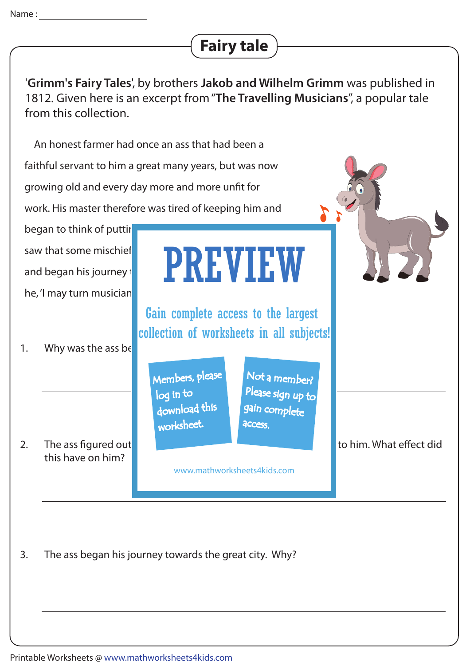## **Fairy tale**

'**Grimm's Fairy Tales**', by brothers **Jakob and Wilhelm Grimm** was published in 1812. Given here is an excerpt from "**The Travelling Musicians**", a popular tale from this collection.

 An honest farmer had once an ass that had been a faithful servant to him a great many years, but was now growing old and every day more and more unfit for work. His master therefore was tired of keeping him and began to think of puttir saw that some mischief was in the wind, to the wind  $\blacksquare$ and began his journey to the great control  $\blacksquare$  towards the great city,  $\blacksquare$ he, 'I may turn musician 1. Why was the ass be 2. The ass figured out that the master is matter is the putting of putting and to him. What effect did this have on him? PREVIEW Members, please download this worksheet. log in to Not a member? gain complete Please sign up to **access** Gain complete access to the largest collection of worksheets in all subjects!

www.mathworksheets4kids.com

3. The ass began his journey towards the great city. Why?